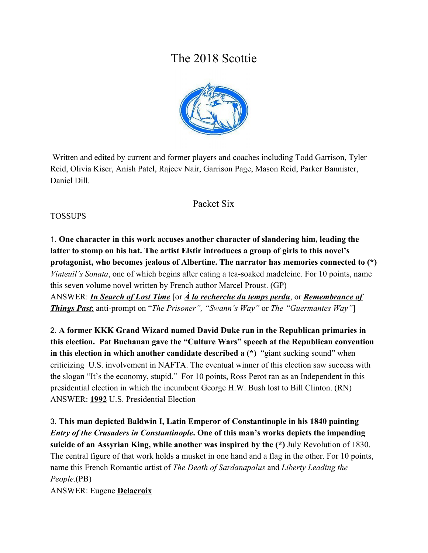# The 2018 Scottie



 Written and edited by current and former players and coaches including Todd Garrison, Tyler Reid, Olivia Kiser, Anish Patel, Rajeev Nair, Garrison Page, Mason Reid, Parker Bannister, Daniel Dill.

### Packet Six

#### TOSSUPS

1. **One character in this work accuses another character of slandering him, leading the latter to stomp on his hat. The artist Elstir introduces a group of girls to this novel's protagonist, who becomes jealous of Albertine. The narrator has memories connected to (\*)** *Vinteuil's Sonata*, one of which begins after eating a tea-soaked madeleine. For 10 points, name this seven volume novel written by French author Marcel Proust. (GP) ANSWER: *In Search of Lost Time* [or *À la recherche du temps perdu*, or *Remembrance of*

*Things Past*; anti-prompt on "*The Prisoner", "Swann's Way"* or *The "Guermantes Way"*]

2. **A former KKK Grand Wizard named David Duke ran in the Republican primaries in this election. Pat Buchanan gave the "Culture Wars" speech at the Republican convention in this election in which another candidate described a (\*)** "giant sucking sound" when criticizing U.S. involvement in NAFTA. The eventual winner of this election saw success with the slogan "It's the economy, stupid." For 10 points, Ross Perot ran as an Independent in this presidential election in which the incumbent George H.W. Bush lost to Bill Clinton. (RN) ANSWER: **1992** U.S. Presidential Election

3. **This man depicted Baldwin I, Latin Emperor of Constantinople in his 1840 painting** *Entry of the Crusaders in Constantinople***. One of this man's works depicts the impending suicide of an Assyrian King, while another was inspired by the (\*)** July Revolution of 1830. The central figure of that work holds a musket in one hand and a flag in the other. For 10 points, name this French Romantic artist of *The Death of Sardanapalus* and *Liberty Leading the People*.(PB) ANSWER: Eugene **Delacroix**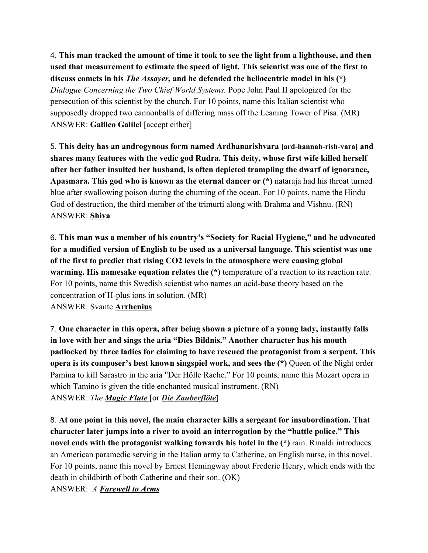4. **This man tracked the amount of time it took to see the light from a lighthouse, and then used that measurement to estimate the speed of light. This scientist was one of the first to discuss comets in his** *The Assayer,* **and he defended the heliocentric model in his (\*)** *Dialogue Concerning the Two Chief World Systems.* Pope John Paul II apologized for the persecution of this scientist by the church. For 10 points, name this Italian scientist who supposedly dropped two cannonballs of differing mass off the Leaning Tower of Pisa. (MR) ANSWER: **Galileo Galilei** [accept either]

5. **This deity has an androgynous form named Ardhanarishvara [ard-hannah-rish-vara] and shares many features with the vedic god Rudra. This deity, whose first wife killed herself after her father insulted her husband, is often depicted trampling the dwarf of ignorance, Apasmara. This god who is known as the eternal dancer or (\*)** nataraja had his throat turned blue after swallowing poison during the churning of the ocean. For 10 points, name the Hindu God of destruction, the third member of the trimurti along with Brahma and Vishnu. (RN) ANSWER: **Shiva**

6. **This man was a member of his country's "Society for Racial Hygiene," and he advocated for a modified version of English to be used as a universal language. This scientist was one of the first to predict that rising CO2 levels in the atmosphere were causing global warming. His namesake equation relates the**  $(*)$  temperature of a reaction to its reaction rate. For 10 points, name this Swedish scientist who names an acid-base theory based on the concentration of H-plus ions in solution. (MR) ANSWER: Svante **Arrhenius**

7. **One character in this opera, after being shown a picture of a young lady, instantly falls in love with her and sings the aria "Dies Bildnis." Another character has his mouth padlocked by three ladies for claiming to have rescued the protagonist from a serpent. This opera is its composer's best known singspiel work, and sees the (\*)** Queen of the Night order Pamina to kill Sarastro in the aria "Der Hölle Rache." For 10 points, name this Mozart opera in which Tamino is given the title enchanted musical instrument. (RN) ANSWER: *The Magic Flute* [or *Die Zauberflöte*]

8. **At one point in this novel, the main character kills a sergeant for insubordination. That character later jumps into a river to avoid an interrogation by the "battle police." This novel ends with the protagonist walking towards his hotel in the (\*)** rain. Rinaldi introduces an American paramedic serving in the Italian army to Catherine, an English nurse, in this novel. For 10 points, name this novel by Ernest Hemingway about Frederic Henry, which ends with the death in childbirth of both Catherine and their son. (OK) ANSWER: *A Farewell to Arms*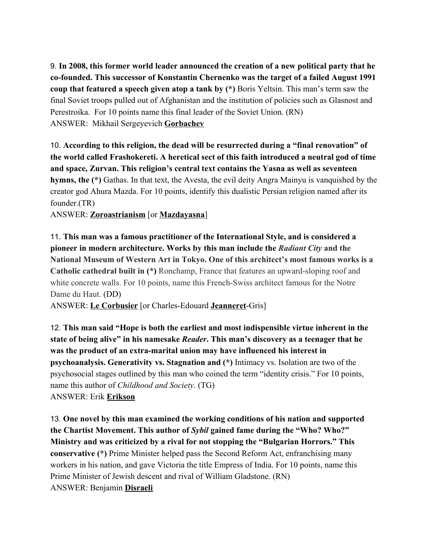9. **In 2008, this former world leader announced the creation of a new political party that he co-founded. This successor of Konstantin Chernenko was the target of a failed August 1991 coup that featured a speech given atop a tank by (\*)** Boris Yeltsin. This man's term saw the final Soviet troops pulled out of Afghanistan and the institution of policies such as Glasnost and Perestroika. For 10 points name this final leader of the Soviet Union. (RN) ANSWER: Mikhail Sergeyevich **Gorbachev**

10. **According to this religion, the dead will be resurrected during a "final renovation" of the world called Frashokereti. A heretical sect of this faith introduced a neutral god of time and space, Zurvan. This religion's central text contains the Yasna as well as seventeen hymns, the (\*)** Gathas. In that text, the Avesta, the evil deity Angra Mainyu is vanquished by the creator god Ahura Mazda. For 10 points, identify this dualistic Persian religion named after its founder.(TR)

ANSWER: **Zoroastrianism** [or **Mazdayasna**]

11. **This man was a famous practitioner of the International Style, and is considered a pioneer in modern architecture. Works by this man include the** *Radiant City* **and the National Museum of Western Art in Tokyo. One of this architect's most famous works is a Catholic cathedral built in (\*)** Ronchamp, France that features an upward-sloping roof and white concrete walls. For 10 points, name this French-Swiss architect famous for the Notre Dame du Haut. (DD)

ANSWER: **Le Corbusier** [or Charles-Edouard **Jeanneret**-Gris]

12. **This man said "Hope is both the earliest and most indispensible virtue inherent in the state of being alive" in his namesake** *Reader***. This man's discovery as a teenager that he was the product of an extra-marital union may have influenced his interest in psychoanalysis. Generativity vs. Stagnation and (\*)** Intimacy vs. Isolation are two of the psychosocial stages outlined by this man who coined the term "identity crisis." For 10 points, name this author of *Childhood and Society*. (TG) ANSWER: Erik **Erikson**

13. **One novel by this man examined the working conditions of his nation and supported the Chartist Movement. This author of** *Sybil* **gained fame during the "Who? Who?" Ministry and was criticized by a rival for not stopping the "Bulgarian Horrors." This conservative (\*)** Prime Minister helped pass the Second Reform Act, enfranchising many workers in his nation, and gave Victoria the title Empress of India. For 10 points, name this Prime Minister of Jewish descent and rival of William Gladstone. (RN) ANSWER: Benjamin **Disraeli**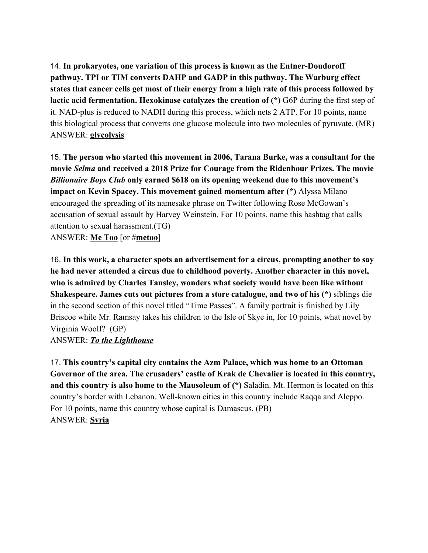14. **In prokaryotes, one variation of this process is known as the Entner-Doudoroff pathway. TPI or TIM converts DAHP and GADP in this pathway. The Warburg effect states that cancer cells get most of their energy from a high rate of this process followed by lactic acid fermentation. Hexokinase catalyzes the creation of (\*)** G6P during the first step of it. NAD-plus is reduced to NADH during this process, which nets 2 ATP. For 10 points, name this biological process that converts one glucose molecule into two molecules of pyruvate. (MR) ANSWER: **glycolysis**

15. **The person who started this movement in 2006, Tarana Burke, was a consultant for the movie** *Selma* **and received a 2018 Prize for Courage from the Ridenhour Prizes. The movie** *Billionaire Boys Club* **only earned \$618 on its opening weekend due to this movement's impact on Kevin Spacey. This movement gained momentum after (\*)** Alyssa Milano encouraged the spreading of its namesake phrase on Twitter following Rose McGowan's accusation of sexual assault by Harvey Weinstein. For 10 points, name this hashtag that calls attention to sexual harassment.(TG) ANSWER: **Me Too** [or #**metoo**]

16. **In this work, a character spots an advertisement for a circus, prompting another to say he had never attended a circus due to childhood poverty. Another character in this novel, who is admired by Charles Tansley, wonders what society would have been like without Shakespeare. James cuts out pictures from a store catalogue, and two of his (\*)** siblings die in the second section of this novel titled "Time Passes". A family portrait is finished by Lily Briscoe while Mr. Ramsay takes his children to the Isle of Skye in, for 10 points, what novel by Virginia Woolf? (GP)

#### ANSWER: *To the Lighthouse*

17. **This country's capital city contains the Azm Palace, which was home to an Ottoman Governor of the area. The crusaders' castle of Krak de Chevalier is located in this country, and this country is also home to the Mausoleum of (\*)** Saladin. Mt. Hermon is located on this country's border with Lebanon. Well-known cities in this country include Raqqa and Aleppo. For 10 points, name this country whose capital is Damascus. (PB) ANSWER: **Syria**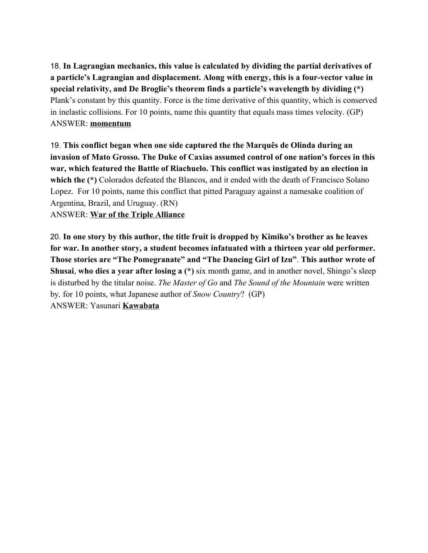18. **In Lagrangian mechanics, this value is calculated by dividing the partial derivatives of a particle's Lagrangian and displacement. Along with energy, this is a four-vector value in special relativity, and De Broglie's theorem finds a particle's wavelength by dividing (\*)** Plank's constant by this quantity. Force is the time derivative of this quantity, which is conserved in inelastic collisions. For 10 points, name this quantity that equals mass times velocity. (GP) ANSWER: **momentum**

19. **This conflict began when one side captured the the Marquês de Olinda during an invasion of Mato Grosso. The Duke of Caxias assumed control of one nation's forces in this war, which featured the Battle of Riachuelo. This conflict was instigated by an election in** which the (\*) Colorados defeated the Blancos, and it ended with the death of Francisco Solano Lopez. For 10 points, name this conflict that pitted Paraguay against a namesake coalition of Argentina, Brazil, and Uruguay. (RN) ANSWER: **War of the Triple Alliance**

20. **In one story by this author, the title fruit is dropped by Kimiko's brother as he leaves for war. In another story, a student becomes infatuated with a thirteen year old performer. Those stories are "The Pomegranate" and "The Dancing Girl of Izu"**. **This author wrote of Shusai**, **who dies a year after losing a (\*)** six month game, and in another novel, Shingo's sleep is disturbed by the titular noise. *The Master of Go* and *The Sound of the Mountain* were written by*,* for 10 points, what Japanese author of *Snow Country*? (GP) ANSWER: Yasunari **Kawabata**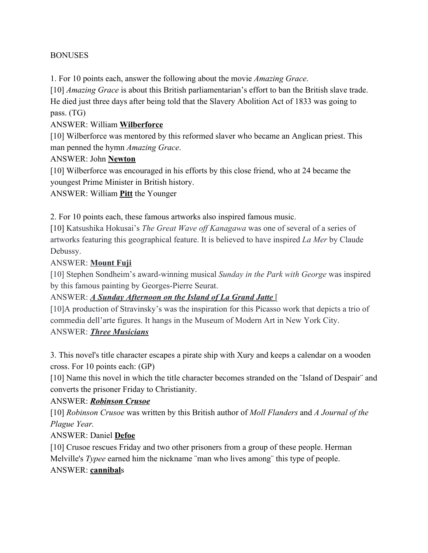#### BONUSES

1. For 10 points each, answer the following about the movie *Amazing Grace*.

[10] *Amazing Grace* is about this British parliamentarian's effort to ban the British slave trade. He died just three days after being told that the Slavery Abolition Act of 1833 was going to pass. (TG)

#### ANSWER: William **Wilberforce**

[10] Wilberforce was mentored by this reformed slaver who became an Anglican priest. This man penned the hymn *Amazing Grace*.

### ANSWER: John **Newton**

[10] Wilberforce was encouraged in his efforts by this close friend, who at 24 became the youngest Prime Minister in British history.

ANSWER: William **Pitt** the Younger

2. For 10 points each, these famous artworks also inspired famous music.

[10] Katsushika Hokusai's *The Great Wave off Kanagawa* was one of several of a series of artworks featuring this geographical feature. It is believed to have inspired *La Mer* by Claude Debussy.

### ANSWER: **Mount Fuji**

[10] Stephen Sondheim's award-winning musical *Sunday in the Park with George* was inspired by this famous painting by Georges-Pierre Seurat.

### ANSWER: *A Sunday Afternoon on the Island of La Grand Jatte* [

[10]A production of Stravinsky's was the inspiration for this Picasso work that depicts a trio of commedia dell'arte figures. It hangs in the Museum of Modern Art in New York City. ANSWER: *Three Musicians*

3. This novel's title character escapes a pirate ship with Xury and keeps a calendar on a wooden cross. For 10 points each: (GP)

[10] Name this novel in which the title character becomes stranded on the "Island of Despair" and converts the prisoner Friday to Christianity.

#### ANSWER: *Robinson Crusoe*

[10] *Robinson Crusoe* was written by this British author of *Moll Flanders* and *A Journal of the Plague Year.*

### ANSWER: Daniel **Defoe**

[10] Crusoe rescues Friday and two other prisoners from a group of these people. Herman Melville's *Typee* earned him the nickname ¨man who lives among¨ this type of people. ANSWER: **cannibal**s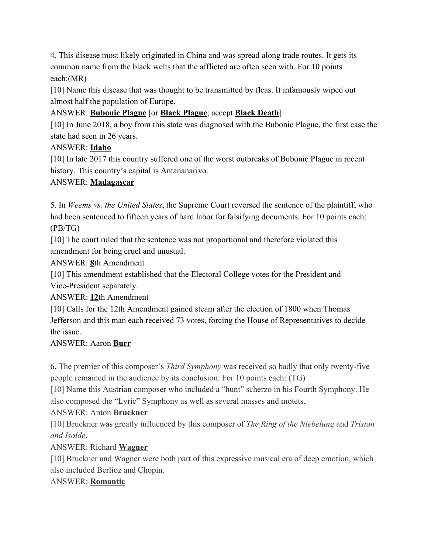4. This disease most likely originated in China and was spread along trade routes. It gets its common name from the black welts that the afflicted are often seen with. For 10 points each:(MR)

[10] Name this disease that was thought to be transmitted by fleas. It infamously wiped out almost half the population of Europe.

### ANSWER: **Bubonic Plague** [or **Black Plague**; accept **Black Death**]

[10] In June 2018, a boy from this state was diagnosed with the Bubonic Plague, the first case the state had seen in 26 years.

### ANSWER: **Idaho**

[10] In late 2017 this country suffered one of the worst outbreaks of Bubonic Plague in recent history. This country's capital is Antananarivo.

### ANSWER: **Madagascar**

5. In *Weems vs. the United States*, the Supreme Court reversed the sentence of the plaintiff, who had been sentenced to fifteen years of hard labor for falsifying documents. For 10 points each: (PB/TG)

[10] The court ruled that the sentence was not proportional and therefore violated this amendment for being cruel and unusual.

ANSWER: **8**th Amendment

[10] This amendment established that the Electoral College votes for the President and Vice-President separately.

ANSWER: **12**th Amendment

[10] Calls for the 12th Amendment gained steam after the election of 1800 when Thomas Jefferson and this man each received 73 votes, forcing the House of Representatives to decide the issue.

### ANSWER: Aaron **Burr**

6. The premier of this composer's *Third Symphony* was received so badly that only twenty-five people remained in the audience by its conclusion. For 10 points each: (TG)

[10] Name this Austrian composer who included a "hunt" scherzo in his Fourth Symphony. He also composed the "Lyric" Symphony as well as several masses and motets.

### ANSWER: Anton **Bruckner**

[10] Bruckner was greatly influenced by this composer of *The Ring of the Niebelung* and *Tristan and Isolde*.

ANSWER: Richard **Wagner**

[10] Bruckner and Wagner were both part of this expressive musical era of deep emotion, which also included Berlioz and Chopin.

### ANSWER: **Romantic**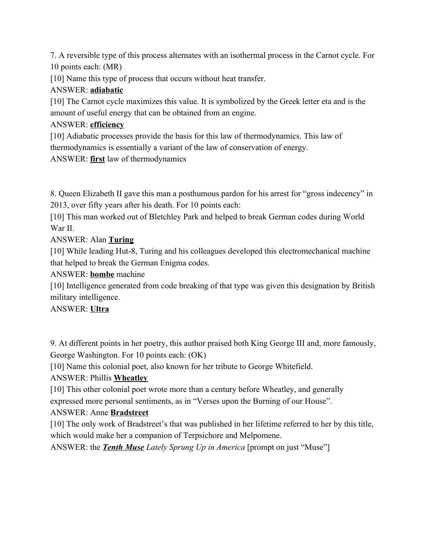7. A reversible type of this process alternates with an isothermal process in the Carnot cycle. For 10 points each: (MR)

[10] Name this type of process that occurs without heat transfer.

# ANSWER: **adiabatic**

[10] The Carnot cycle maximizes this value. It is symbolized by the Greek letter eta and is the amount of useful energy that can be obtained from an engine.

# ANSWER: **efficiency**

[10] Adiabatic processes provide the basis for this law of thermodynamics. This law of thermodynamics is essentially a variant of the law of conservation of energy. ANSWER: **first** law of thermodynamics

8. Queen Elizabeth II gave this man a posthumous pardon for his arrest for "gross indecency" in 2013, over fifty years after his death. For 10 points each:

[10] This man worked out of Bletchley Park and helped to break German codes during World War II.

# ANSWER: Alan **Turing**

[10] While leading Hut-8, Turing and his colleagues developed this electromechanical machine that helped to break the German Enigma codes.

ANSWER: **bombe** machine

[10] Intelligence generated from code breaking of that type was given this designation by British military intelligence.

ANSWER: **Ultra**

9. At different points in her poetry, this author praised both King George III and, more famously, George Washington. For 10 points each: (OK)

[10] Name this colonial poet, also known for her tribute to George Whitefield.

# ANSWER: Phillis **Wheatley**

[10] This other colonial poet wrote more than a century before Wheatley, and generally expressed more personal sentiments, as in "Verses upon the Burning of our House".

# ANSWER: Anne **Bradstreet**

[10] The only work of Bradstreet's that was published in her lifetime referred to her by this title, which would make her a companion of Terpsichore and Melpomene.

ANSWER: the *Tenth Muse Lately Sprung Up in America* [prompt on just "Muse"]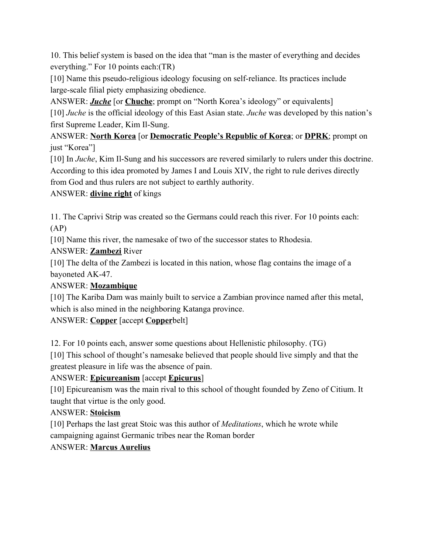10. This belief system is based on the idea that "man is the master of everything and decides everything." For 10 points each:(TR)

[10] Name this pseudo-religious ideology focusing on self-reliance. Its practices include large-scale filial piety emphasizing obedience.

ANSWER: *Juche* [or **Chuche**; prompt on "North Korea's ideology" or equivalents]

[10] *Juche* is the official ideology of this East Asian state. *Juche* was developed by this nation's first Supreme Leader, Kim Il-Sung.

ANSWER: **North Korea** [or **Democratic People's Republic of Korea**; or **DPRK**; prompt on just "Korea"]

[10] In *Juche*, Kim Il-Sung and his successors are revered similarly to rulers under this doctrine. According to this idea promoted by James I and Louis XIV, the right to rule derives directly from God and thus rulers are not subject to earthly authority.

ANSWER: **divine right** of kings

11. The Caprivi Strip was created so the Germans could reach this river. For 10 points each: (AP)

[10] Name this river, the namesake of two of the successor states to Rhodesia.

ANSWER: **Zambezi** River

[10] The delta of the Zambezi is located in this nation, whose flag contains the image of a bayoneted AK-47.

### ANSWER: **Mozambique**

[10] The Kariba Dam was mainly built to service a Zambian province named after this metal, which is also mined in the neighboring Katanga province.

# ANSWER: **Copper** [accept **Copper**belt]

12. For 10 points each, answer some questions about Hellenistic philosophy. (TG)

[10] This school of thought's namesake believed that people should live simply and that the greatest pleasure in life was the absence of pain.

# ANSWER: **Epicureanism** [accept **Epicurus**]

[10] Epicureanism was the main rival to this school of thought founded by Zeno of Citium. It taught that virtue is the only good.

# ANSWER: **Stoicism**

[10] Perhaps the last great Stoic was this author of *Meditations*, which he wrote while campaigning against Germanic tribes near the Roman border

# ANSWER: **Marcus Aurelius**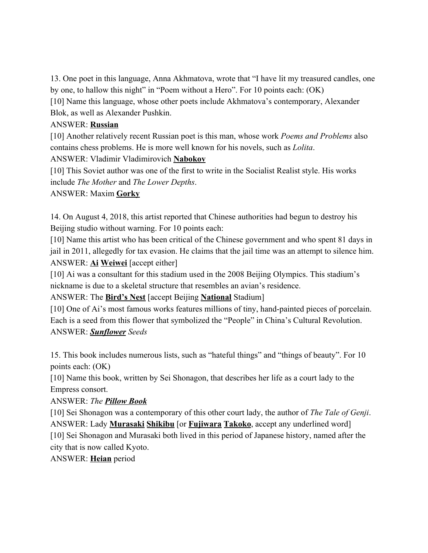13. One poet in this language, Anna Akhmatova, wrote that "I have lit my treasured candles, one by one, to hallow this night" in "Poem without a Hero". For 10 points each: (OK)

[10] Name this language, whose other poets include Akhmatova's contemporary, Alexander Blok, as well as Alexander Pushkin.

#### ANSWER: **Russian**

[10] Another relatively recent Russian poet is this man, whose work *Poems and Problems* also contains chess problems. He is more well known for his novels, such as *Lolita*.

ANSWER: Vladimir Vladimirovich **Nabokov**

[10] This Soviet author was one of the first to write in the Socialist Realist style. His works include *The Mother* and *The Lower Depths*.

#### ANSWER: Maxim **Gorky**

14. On August 4, 2018, this artist reported that Chinese authorities had begun to destroy his Beijing studio without warning. For 10 points each:

[10] Name this artist who has been critical of the Chinese government and who spent 81 days in jail in 2011, allegedly for tax evasion. He claims that the jail time was an attempt to silence him. ANSWER: **Ai Weiwei** [accept either]

[10] Ai was a consultant for this stadium used in the 2008 Beijing Olympics. This stadium's nickname is due to a skeletal structure that resembles an avian's residence.

ANSWER: The **Bird's Nest** [accept Beijing **National** Stadium]

[10] One of Ai's most famous works features millions of tiny, hand-painted pieces of porcelain. Each is a seed from this flower that symbolized the "People" in China's Cultural Revolution. ANSWER: *Sunflower Seeds*

15. This book includes numerous lists, such as "hateful things" and "things of beauty". For 10 points each: (OK)

[10] Name this book, written by Sei Shonagon, that describes her life as a court lady to the Empress consort.

ANSWER: *The Pillow Book*

[10] Sei Shonagon was a contemporary of this other court lady, the author of *The Tale of Genji*. ANSWER: Lady **Murasaki Shikibu** [or **Fujiwara Takoko**, accept any underlined word] [10] Sei Shonagon and Murasaki both lived in this period of Japanese history, named after the city that is now called Kyoto.

ANSWER: **Heian** period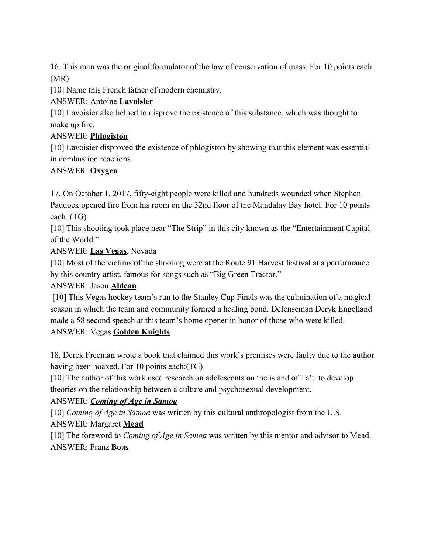16. This man was the original formulator of the law of conservation of mass. For 10 points each: (MR)

[10] Name this French father of modern chemistry.

### ANSWER: Antoine **Lavoisier**

[10] Lavoisier also helped to disprove the existence of this substance, which was thought to make up fire.

### ANSWER: **Phlogiston**

[10] Lavoisier disproved the existence of phlogiston by showing that this element was essential in combustion reactions.

### ANSWER: **Oxygen**

17. On October 1, 2017, fifty-eight people were killed and hundreds wounded when Stephen Paddock opened fire from his room on the 32nd floor of the Mandalay Bay hotel. For 10 points each. (TG)

[10] This shooting took place near "The Strip" in this city known as the "Entertainment Capital" of the World."

ANSWER: **Las Vegas**, Nevada

[10] Most of the victims of the shooting were at the Route 91 Harvest festival at a performance by this country artist, famous for songs such as "Big Green Tractor."

### ANSWER: Jason **Aldean**

 [10] This Vegas hockey team's run to the Stanley Cup Finals was the culmination of a magical season in which the team and community formed a healing bond. Defenseman Deryk Engelland made a 58 second speech at this team's home opener in honor of those who were killed. ANSWER: Vegas **Golden Knights**

18. Derek Freeman wrote a book that claimed this work's premises were faulty due to the author having been hoaxed. For 10 points each:(TG)

[10] The author of this work used research on adolescents on the island of Ta'u to develop theories on the relationship between a culture and psychosexual development.

# ANSWER: *Coming of Age in Samoa*

[10] *Coming of Age in Samoa* was written by this cultural anthropologist from the U.S. ANSWER: Margaret **Mead**

[10] The foreword to *Coming of Age in Samoa* was written by this mentor and advisor to Mead. ANSWER: Franz **Boas**